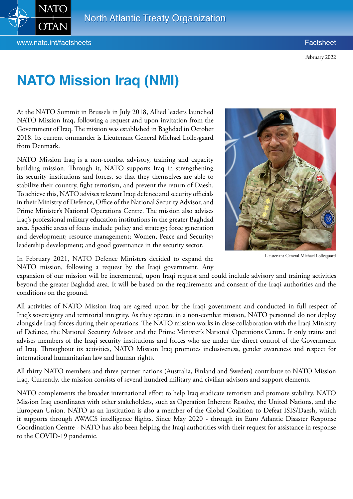

## **NATO Mission Iraq (NMI)**

At the NATO Summit in Brussels in July 2018, Allied leaders launched NATO Mission Iraq, following a request and upon invitation from the Government of Iraq. The mission was established in Baghdad in October 2018. Its current ommander is Lieutenant General Michael Lollesgaard from Denmark.

NATO Mission Iraq is a non-combat advisory, training and capacity building mission. Through it, NATO supports Iraq in strengthening its security institutions and forces, so that they themselves are able to stabilize their country, fight terrorism, and prevent the return of Daesh. To achieve this, NATO advises relevant Iraqi defence and security officials in their Ministry of Defence, Office of the National Security Advisor, and Prime Minister's National Operations Centre. The mission also advises Iraq's professional military education institutions in the greater Baghdad area. Specific areas of focus include policy and strategy; force generation and development; resource management; Women, Peace and Security; leadership development; and good governance in the security sector.



Lieutenant General Michael Lollesgaard

In February 2021, NATO Defence Ministers decided to expand the NATO mission, following a request by the Iraqi government. Any

expansion of our mission will be incremental, upon Iraqi request and could include advisory and training activities beyond the greater Baghdad area. It will be based on the requirements and consent of the Iraqi authorities and the conditions on the ground.

All activities of NATO Mission Iraq are agreed upon by the Iraqi government and conducted in full respect of Iraq's sovereignty and territorial integrity. As they operate in a non-combat mission, NATO personnel do not deploy alongside Iraqi forces during their operations. The NATO mission works in close collaboration with the Iraqi Ministry of Defence, the National Security Advisor and the Prime Minister's National Operations Centre. It only trains and advises members of the Iraqi security institutions and forces who are under the direct control of the Government of Iraq. Throughout its activities, NATO Mission Iraq promotes inclusiveness, gender awareness and respect for international humanitarian law and human rights.

All thirty NATO members and three partner nations (Australia, Finland and Sweden) contribute to NATO Mission Iraq. Currently, the mission consists of several hundred military and civilian advisors and support elements.

NATO complements the broader international effort to help Iraq eradicate terrorism and promote stability. NATO Mission Iraq coordinates with other stakeholders, such as Operation Inherent Resolve, the United Nations, and the European Union. NATO as an institution is also a member of the Global Coalition to Defeat ISIS/Daesh, which it supports through AWACS intelligence flights. Since May 2020 - through its Euro Atlantic Disaster Response Coordination Centre - NATO has also been helping the Iraqi authorities with their request for assistance in response to the COVID-19 pandemic.